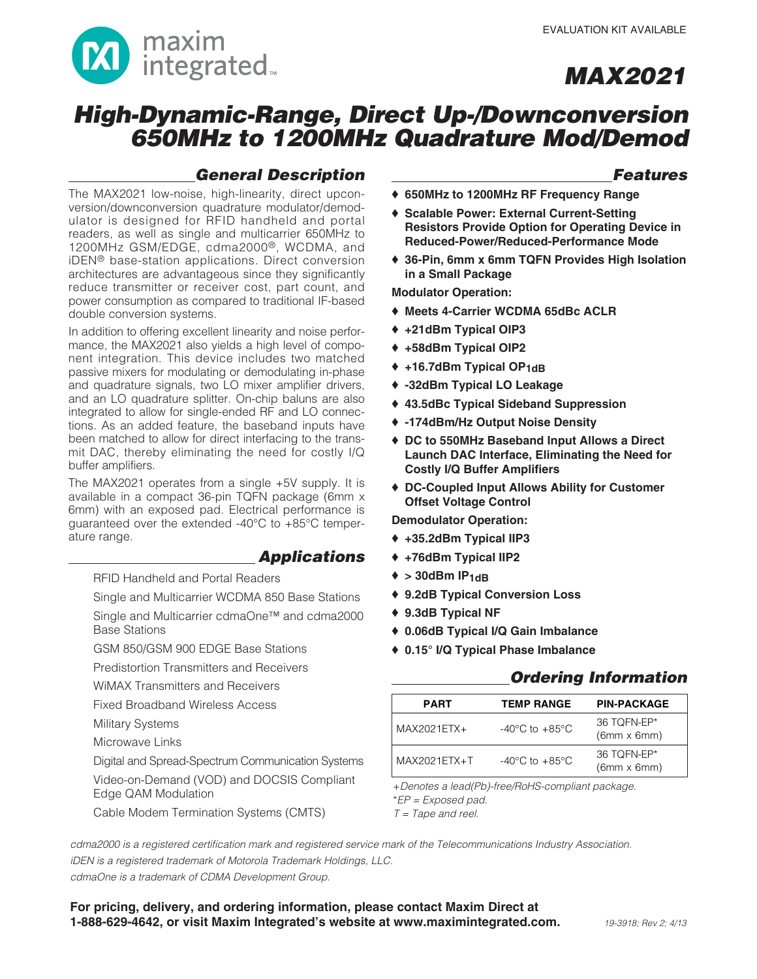

## **High-Dynamic-Range, Direct Up-/Downconversion 650MHz to 1200MHz Quadrature Mod/Demod**

### **General Description**

The MAX2021 low-noise, high-linearity, direct upconversion/downconversion quadrature modulator/demodulator is designed for RFID handheld and portal readers, as well as single and multicarrier 650MHz to 1200MHz GSM/EDGE, cdma2000®, WCDMA, and iDEN® base-station applications. Direct conversion architectures are advantageous since they significantly reduce transmitter or receiver cost, part count, and power consumption as compared to traditional IF-based double conversion systems.

In addition to offering excellent linearity and noise performance, the MAX2021 also yields a high level of component integration. This device includes two matched passive mixers for modulating or demodulating in-phase and quadrature signals, two LO mixer amplifier drivers, and an LO quadrature splitter. On-chip baluns are also integrated to allow for single-ended RF and LO connections. As an added feature, the baseband inputs have been matched to allow for direct interfacing to the transmit DAC, thereby eliminating the need for costly I/Q buffer amplifiers.

The MAX2021 operates from a single +5V supply. It is available in a compact 36-pin TQFN package (6mm x 6mm) with an exposed pad. Electrical performance is guaranteed over the extended -40°C to +85°C temperature range.

### **Applications**

RFID Handheld and Portal Readers

Single and Multicarrier WCDMA 850 Base Stations

Single and Multicarrier cdmaOne™ and cdma2000 Base Stations

GSM 850/GSM 900 EDGE Base Stations

Predistortion Transmitters and Receivers

WiMAX Transmitters and Receivers

Fixed Broadband Wireless Access

Military Systems

Microwave Links

Digital and Spread-Spectrum Communication Systems

Video-on-Demand (VOD) and DOCSIS Compliant Edge QAM Modulation

Cable Modem Termination Systems (CMTS)

### **Features**

- ♦ **650MHz to 1200MHz RF Frequency Range**
- ♦ **Scalable Power: External Current-Setting Resistors Provide Option for Operating Device in Reduced-Power/Reduced-Performance Mode**
- ♦ **36-Pin, 6mm x 6mm TQFN Provides High Isolation in a Small Package**

**Modulator Operation:**

- ♦ **Meets 4-Carrier WCDMA 65dBc ACLR**
- ♦ **+21dBm Typical OIP3**
- ♦ **+58dBm Typical OIP2**
- ♦ **+16.7dBm Typical OP1dB**
- ♦ **-32dBm Typical LO Leakage**
- ♦ **43.5dBc Typical Sideband Suppression**
- ♦ **-174dBm/Hz Output Noise Density**
- ♦ **DC to 550MHz Baseband Input Allows a Direct Launch DAC Interface, Eliminating the Need for Costly I/Q Buffer Amplifiers**
- ♦ **DC-Coupled Input Allows Ability for Customer Offset Voltage Control**

**Demodulator Operation:**

- ♦ **+35.2dBm Typical IIP3**
- ♦ **+76dBm Typical IIP2**
- $\triangleq$  > 30dBm IP<sub>1dB</sub>
- ♦ **9.2dB Typical Conversion Loss**
- ♦ **9.3dB Typical NF**
- ♦ **0.06dB Typical I/Q Gain Imbalance**
- ♦ **0.15° I/Q Typical Phase Imbalance**

### **Ordering Information**

| <b>PART</b>   | <b>TEMP RANGE</b>                  | <b>PIN-PACKAGE</b>                |
|---------------|------------------------------------|-----------------------------------|
| $MAX2021ETX+$ | $-40^{\circ}$ C to $+85^{\circ}$ C | 36 TOFN-EP*<br>$(6mm \times 6mm)$ |
| MAX2021ETX+T  | $-40^{\circ}$ C to $+85^{\circ}$ C | 36 TOFN-EP*<br>$(6mm \times 6mm)$ |

+Denotes a lead(Pb)-free/RoHS-compliant package.

\*EP = Exposed pad.

 $T = \text{Tape}$  and reel.

cdma2000 is a registered certification mark and registered service mark of the Telecommunications Industry Association. iDEN is a registered trademark of Motorola Trademark Holdings, LLC.

cdmaOne is a trademark of CDMA Development Group.

**For pricing, delivery, and ordering information, please contact Maxim Direct at 1-888-629-4642, or visit Maxim Integrated's website at www.maximintegrated.com.**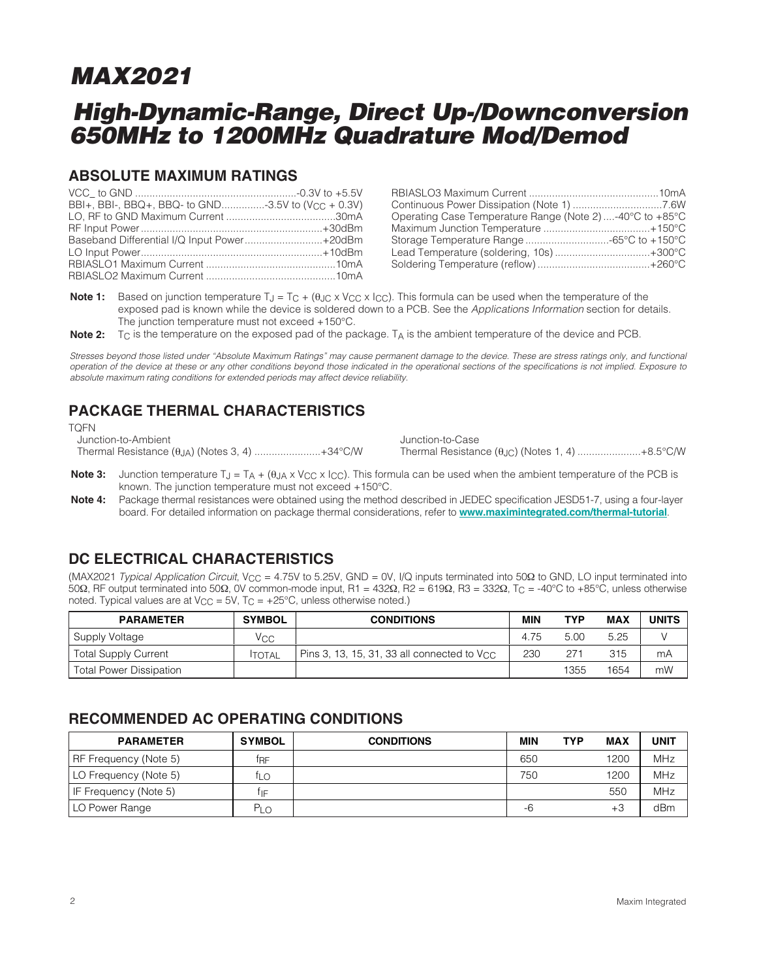## **High-Dynamic-Range, Direct Up-/Downconversion 650MHz to 1200MHz Quadrature Mod/Demod**

### **ABSOLUTE MAXIMUM RATINGS**

| BBI+, BBI-, BBQ+, BBQ- to GND-3.5V to (V <sub>CC</sub> + 0.3V) |  |
|----------------------------------------------------------------|--|
|                                                                |  |
|                                                                |  |
| Baseband Differential I/Q Input Power+20dBm                    |  |
|                                                                |  |
|                                                                |  |
|                                                                |  |

| Operating Case Temperature Range (Note 2)-40°C to +85°C |  |
|---------------------------------------------------------|--|
|                                                         |  |
| Storage Temperature Range 65°C to +150°C                |  |
| Lead Temperature (soldering, 10s)+300°C                 |  |
|                                                         |  |

**Note 1:** Based on junction temperature T<sub>J</sub> = T<sub>C</sub> + (θ<sub>JC</sub> x V<sub>CC</sub> x I<sub>CC</sub>). This formula can be used when the temperature of the exposed pad is known while the device is soldered down to a PCB. See the Applications Information section for details. The junction temperature must not exceed +150°C.

**Note 2:**  $T_C$  is the temperature on the exposed pad of the package.  $T_A$  is the ambient temperature of the device and PCB.

Stresses beyond those listed under "Absolute Maximum Ratings" may cause permanent damage to the device. These are stress ratings only, and functional operation of the device at these or any other conditions beyond those indicated in the operational sections of the specifications is not implied. Exposure to absolute maximum rating conditions for extended periods may affect device reliability.

### **PACKAGE THERMAL CHARACTERISTICS**

TQFN Junction-to-Ambient Thermal Resistance (θJA) (Notes 3, 4) .......................+34°C/W

Junction-to-Case Thermal Resistance (θJC) (Notes 1, 4) ......................+8.5°C/W

- **Note 3:** Junction temperature T<sub>J</sub> = T<sub>A</sub> + (θ<sub>JA</sub> x V<sub>CC</sub> x I<sub>CC</sub>). This formula can be used when the ambient temperature of the PCB is known. The junction temperature must not exceed +150°C.
- **Note 4:** Package thermal resistances were obtained using the method described in JEDEC specification JESD51-7, using a four-layer board. For detailed information on package thermal considerations, refer to **[www.maximintegrated.com/thermal-tutorial](http://www.maximintegrated.com/thermal-tutorial)**.

### **DC ELECTRICAL CHARACTERISTICS**

(MAX2021 Typical Application Circuit, VCC = 4.75V to 5.25V, GND = 0V, I/Q inputs terminated into 50Ω to GND, LO input terminated into 50Ω, RF output terminated into 50Ω, 0V common-mode input, R1 = 432Ω, R2 = 619Ω, R3 = 332Ω, TC = -40°C to +85°C, unless otherwise noted. Typical values are at  $V_{CC} = 5V$ ,  $T_C = +25^{\circ}C$ , unless otherwise noted.)

| <b>PARAMETER</b>               | <b>SYMBOL</b> | <b>CONDITIONS</b>                                       | MIN  | TYP  | <b>MAX</b> | <b>UNITS</b> |
|--------------------------------|---------------|---------------------------------------------------------|------|------|------------|--------------|
| Supply Voltage                 | Vcc           |                                                         | 4.75 | 5.00 | 5.25       |              |
| <b>Total Supply Current</b>    | <b>ITOTAL</b> | Pins 3, 13, 15, 31, 33 all connected to $V_{\text{CC}}$ | 230  | 271  | 315        | mA           |
| <b>Total Power Dissipation</b> |               |                                                         |      | 1355 | 1654       | mW           |

### **RECOMMENDED AC OPERATING CONDITIONS**

| <b>PARAMETER</b>      | <b>SYMBOL</b> | <b>CONDITIONS</b> | <b>MIN</b> | <b>TYP</b> | <b>MAX</b> | UNIT       |
|-----------------------|---------------|-------------------|------------|------------|------------|------------|
| RF Frequency (Note 5) | †RF           |                   | 650        |            | 1200       | <b>MHz</b> |
| LO Frequency (Note 5) | ĪLΟ           |                   | 750        |            | 1200       | MHz        |
| IF Frequency (Note 5) | İIF           |                   |            |            | 550        | MHz        |
| LO Power Range        | PLo           |                   | -6         |            | $+3$       | dBm        |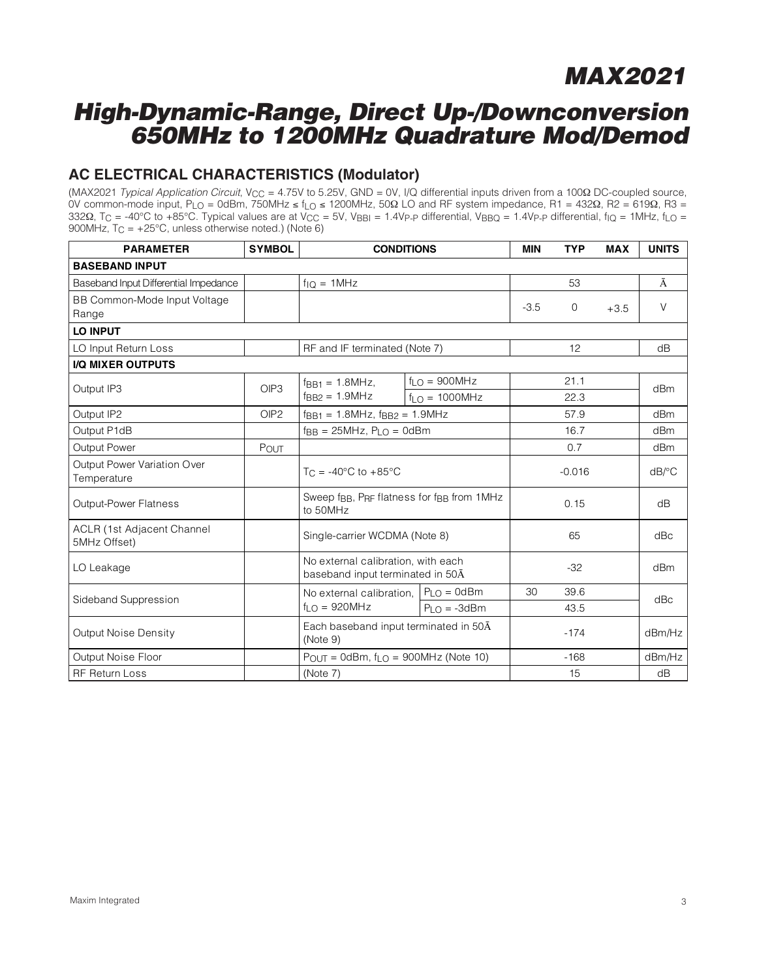### **High-Dynamic-Range, Direct Up-/Downconversion 650MHz to 1200MHz Quadrature Mod/Demod**

### **AC ELECTRICAL CHARACTERISTICS (Modulator)**

(MAX2021 Typical Application Circuit, V<sub>CC</sub> = 4.75V to 5.25V, GND = 0V, I/Q differential inputs driven from a 100Ω DC-coupled source, 0V common-mode input, PLO = 0dBm, 750MHz ≤ fLO ≤ 1200MHz, 50Ω LO and RF system impedance, R1 = 432Ω, R2 = 619Ω, R3 = 332Ω, T<sub>C</sub> = -40°C to +85°C. Typical values are at V<sub>CC</sub> = 5V, V<sub>BBI</sub> = 1.4V<sub>P-P</sub> differential, V<sub>BBQ</sub> = 1.4V<sub>P-P</sub> differential, f<sub>IQ</sub> = 1MHz, f<sub>LQ</sub> = 900MHz,  $T_C = +25^{\circ}C$ , unless otherwise noted.) (Note 6)

| <b>PARAMETER</b>                                  | <b>SYMBOL</b>    | <b>CONDITIONS</b>                                                                          |                       | <b>MIN</b> | <b>TYP</b> | <b>MAX</b>            | <b>UNITS</b> |
|---------------------------------------------------|------------------|--------------------------------------------------------------------------------------------|-----------------------|------------|------------|-----------------------|--------------|
| <b>BASEBAND INPUT</b>                             |                  |                                                                                            |                       |            |            |                       |              |
| Baseband Input Differential Impedance             |                  | $f_{1O} = 1 MHz$                                                                           |                       |            | 53         |                       | Ā            |
| BB Common-Mode Input Voltage                      |                  |                                                                                            |                       | $-3.5$     | 0          | $+3.5$                | $\vee$       |
| Range                                             |                  |                                                                                            |                       |            |            |                       |              |
| <b>LO INPUT</b>                                   |                  |                                                                                            |                       |            |            |                       |              |
| LO Input Return Loss                              |                  | RF and IF terminated (Note 7)                                                              |                       |            | 12         |                       | dB           |
| I/Q MIXER OUTPUTS                                 |                  |                                                                                            |                       |            |            |                       |              |
| Output IP3                                        | OIP3             | $fRR1 = 1.8 MHz$                                                                           | $f_{LO} = 900 MHz$    |            | 21.1       |                       | dBm          |
|                                                   |                  | $f_{B}$ <sub>RB2</sub> = 1.9MHz                                                            | $f_i \cap = 1000$ MHz |            | 22.3       |                       |              |
| Output IP2                                        | OIP <sub>2</sub> | $f_{BB1} = 1.8 MHz$ , $f_{BB2} = 1.9 MHz$                                                  |                       |            | 57.9       |                       | dBm          |
| Output P1dB                                       |                  | $f_{BB} = 25MHz$ , $P_{LO} = 0dBm$                                                         |                       | 16.7       |            | dBm                   |              |
| Output Power                                      | POUT             |                                                                                            |                       | 0.7        |            | dB <sub>m</sub>       |              |
| Output Power Variation Over<br>Temperature        |                  | $T_C = -40^{\circ}C$ to $+85^{\circ}C$                                                     |                       | $-0.016$   |            | $dB$ <sup>o</sup> $C$ |              |
| <b>Output-Power Flatness</b>                      |                  | Sweep f <sub>BB</sub> , P <sub>RF</sub> flatness for f <sub>BB</sub> from 1MHz<br>to 50MHz |                       |            | 0.15       |                       | dB           |
| <b>ACLR (1st Adjacent Channel</b><br>5MHz Offset) |                  | Single-carrier WCDMA (Note 8)                                                              |                       |            | 65         |                       | dBc          |
| LO Leakage                                        |                  | No external calibration, with each<br>baseband input terminated in 50A                     |                       |            | $-32$      |                       | dBm          |
| Sideband Suppression                              |                  | No external calibration,                                                                   | $P_{LO} = 0$ d $Bm$   | 30         | 39.6       |                       | dBc          |
|                                                   |                  | $f_{LO} = 920 MHz$                                                                         | $P_{LO} = -3dBm$      | 43.5       |            |                       |              |
| Output Noise Density                              |                  | Each baseband input terminated in 50A<br>(Note 9)                                          |                       | $-174$     |            | dBm/Hz                |              |
| Output Noise Floor                                |                  | $P_{OUT} = 0$ dBm, f <sub>LO</sub> = 900MHz (Note 10)                                      |                       |            | $-168$     |                       | dBm/Hz       |
| <b>RF Return Loss</b>                             |                  | (Note 7)                                                                                   |                       |            | 15         |                       | dB           |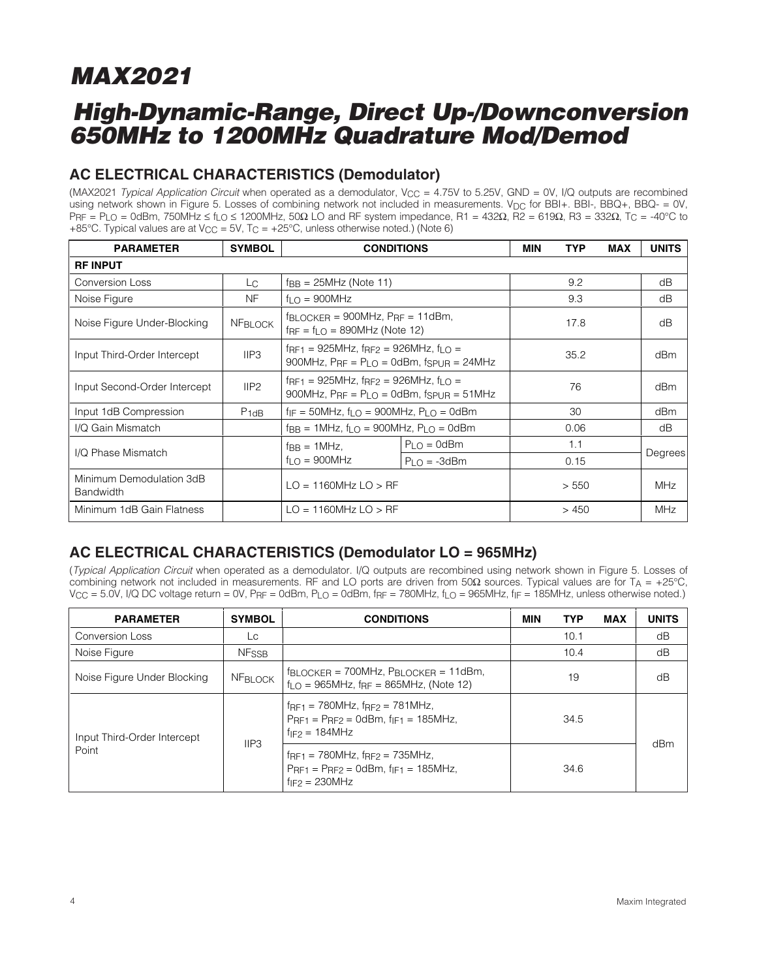## **High-Dynamic-Range, Direct Up-/Downconversion 650MHz to 1200MHz Quadrature Mod/Demod**

### **AC ELECTRICAL CHARACTERISTICS (Demodulator)**

(MAX2021 Typical Application Circuit when operated as a demodulator,  $V_{CC} = 4.75V$  to 5.25V, GND = 0V, I/Q outputs are recombined using network shown in Figure 5. Losses of combining network not included in measurements. V<sub>DC</sub> for BBI+. BBI-, BBQ+, BBQ- = 0V,  $PrF = PLO = 0$ dBm, 750MHz  $\le fLO \le 1200$ MHz, 50 $\Omega$  LO and RF system impedance, R1 = 432 $\Omega$ , R2 = 619 $\Omega$ , R3 = 332 $\Omega$ , T $C = -40^{\circ}$ C to +85°C. Typical values are at  $V_{CC}$  = 5V, T<sub>C</sub> = +25°C, unless otherwise noted.) (Note 6)

| <b>PARAMETER</b>                             | <b>SYMBOL</b>    | <b>CONDITIONS</b>                                                                                               |                                                                                                                                         | MIN   | <b>TYP</b> | <b>MAX</b> | <b>UNITS</b> |
|----------------------------------------------|------------------|-----------------------------------------------------------------------------------------------------------------|-----------------------------------------------------------------------------------------------------------------------------------------|-------|------------|------------|--------------|
| <b>RF INPUT</b>                              |                  |                                                                                                                 |                                                                                                                                         |       |            |            |              |
| <b>Conversion Loss</b>                       | Lc.              | $f_{BB} = 25MHz$ (Note 11)                                                                                      |                                                                                                                                         |       | 9.2        |            | dB           |
| Noise Figure                                 | NF.              | $fl$ $\cap$ = 900MHz                                                                                            |                                                                                                                                         |       | 9.3        |            | dB           |
| Noise Figure Under-Blocking                  | <b>NFBLOCK</b>   |                                                                                                                 | $f_{\text{BLOCKER}} = 900 \text{MHz}$ , $P_{\text{RF}} = 11 \text{dBm}$ ,<br>$f_{\text{RF}} = f_{\text{LO}} = 890 \text{MHz}$ (Note 12) |       |            |            | dB           |
| Input Third-Order Intercept                  | IIP3             |                                                                                                                 | $f_{\text{RF1}} = 925$ MHz, $f_{\text{RF2}} = 926$ MHz, $f_{\text{LO}} =$<br>900MHz, $P_{RF} = P_{I \cap I} = 0$ dBm, fspun = 24MHz     |       |            |            | dBm          |
| Input Second-Order Intercept                 | IIP <sub>2</sub> | $f_{RF1} = 925$ MHz, $f_{RF2} = 926$ MHz, $f_{LQ} =$<br>900MHz, $P_{RF} = P_{LO} = 0$ dBm, fspu $_{R} = 51$ MHz |                                                                                                                                         | 76    |            | dBm        |              |
| Input 1dB Compression                        | $P_{1dB}$        | $f_{IF} = 50MHz$ , $f_{LO} = 900MHz$ , $P_{LO} = 0dBm$                                                          |                                                                                                                                         |       | 30         |            | dBm          |
| I/Q Gain Mismatch                            |                  | $f_{\rm BB} = 1$ MHz, $f_{\rm LO} = 900$ MHz, $P_{\rm LO} = 0$ dBm                                              |                                                                                                                                         |       | 0.06       |            | dB           |
| I/Q Phase Mismatch                           |                  | $f_{\rm{BB}} = 1$ MHz,                                                                                          | $P_{LO} = 0$ dBm                                                                                                                        |       | 1.1        |            |              |
|                                              |                  | $f_{LO} = 900 MHz$                                                                                              | $P_{LO} = -3dBm$                                                                                                                        |       | 0.15       |            | Degrees      |
| Minimum Demodulation 3dB<br><b>Bandwidth</b> |                  | $LO = 1160MHz$ $LO > RF$                                                                                        |                                                                                                                                         | > 550 |            | <b>MHz</b> |              |
| Minimum 1dB Gain Flatness                    |                  | $LO = 1160MHz$ $LO > RF$                                                                                        |                                                                                                                                         |       | >450       |            | <b>MHz</b>   |

### **AC ELECTRICAL CHARACTERISTICS (Demodulator LO = 965MHz)**

(Typical Application Circuit when operated as a demodulator. I/Q outputs are recombined using network shown in Figure 5. Losses of combining network not included in measurements. RF and LO ports are driven from 50Ω sources. Typical values are for T<sub>A</sub> = +25°C,  $V_{\text{CC}} = 5.0V$ , I/Q DC voltage return = 0V, P<sub>RF</sub> = 0dBm, P<sub>LO</sub> = 0dBm, f<sub>RF</sub> = 780MHz, f<sub>LO</sub> = 965MHz, f<sub>IF</sub> = 185MHz, unless otherwise noted.)

| <b>PARAMETER</b>                     | <b>SYMBOL</b>    | <b>CONDITIONS</b>                                                                                                                        | MIN  | <b>TYP</b> | <b>MAX</b> | <b>UNITS</b> |
|--------------------------------------|------------------|------------------------------------------------------------------------------------------------------------------------------------------|------|------------|------------|--------------|
| <b>Conversion Loss</b>               | LC               |                                                                                                                                          |      | 10.1       |            | dB           |
| Noise Figure                         | <b>NFSSB</b>     |                                                                                                                                          |      | 10.4       |            | dB           |
| Noise Figure Under Blocking          | <b>NFBLOCK</b>   | $f_{\text{BLOCKER}} = 700$ MHz, $P_{\text{BLOCKER}} = 11$ dBm,<br>$f_{\text{LO}} = 965 \text{MHz}$ , f <sub>RF</sub> = 865MHz, (Note 12) |      | 19         |            | dB           |
| Input Third-Order Intercept<br>Point |                  | $frF_{RF1} = 780 MHz$ , $frF_{FP} = 781 MHz$ ,<br>$P_{RF1} = P_{RF2} = 0$ dBm, f <sub>IF1</sub> = 185MHz,<br>$f_{IF2} = 184 MHz$         |      | 34.5       |            |              |
|                                      | IIP <sub>3</sub> | $frF_{RF1} = 780 MHz, frF2 = 735 MHz,$<br>$P_{RF1} = P_{RF2} = 0$ dBm, f <sub>IF1</sub> = 185MHz,<br>$f_{IF2} = 230 MHz$                 | 34.6 |            | dBm        |              |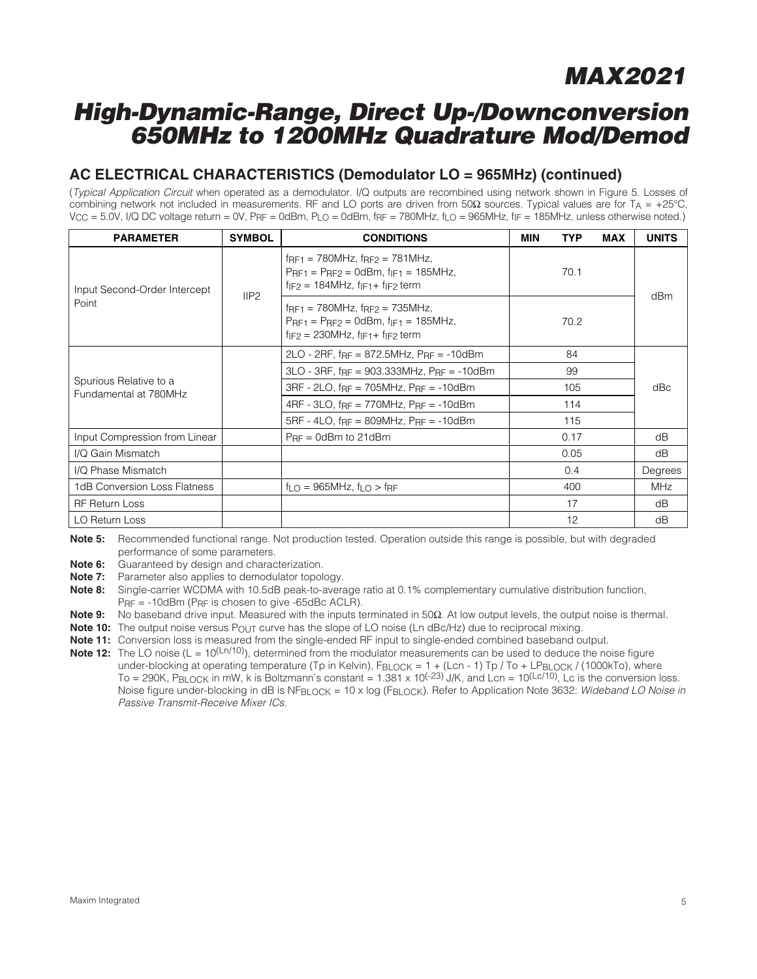## **High-Dynamic-Range, Direct Up-/Downconversion 650MHz to 1200MHz Quadrature Mod/Demod**

### **AC ELECTRICAL CHARACTERISTICS (Demodulator LO = 965MHz) (continued)**

(Typical Application Circuit when operated as a demodulator. I/Q outputs are recombined using network shown in Figure 5. Losses of combining network not included in measurements. RF and LO ports are driven from 50Ω sources. Typical values are for T<sub>A</sub> = +25°C,  $V_{\text{CC}} = 5.0V$ , I/Q DC voltage return = 0V, PRF = 0dBm, PLO = 0dBm, fRF = 780MHz, fLO = 965MHz, fiF = 185MHz, unless otherwise noted.)

| <b>PARAMETER</b>                                | <b>SYMBOL</b> | <b>CONDITIONS</b>                                                                                                                                |      | <b>TYP</b> | <b>MAX</b> | <b>UNITS</b> |
|-------------------------------------------------|---------------|--------------------------------------------------------------------------------------------------------------------------------------------------|------|------------|------------|--------------|
| Input Second-Order Intercept<br>Point           |               | $f_{RF1} = 780$ MHz, $f_{RF2} = 781$ MHz,<br>$PrF1 = PrF2 = OdBm$ , f <sub>IF1</sub> = 185MHz,<br>$f_{IF2} = 184 MHz$ , $f_{IF1} + f_{IF2}$ term |      | 70.1       |            | dBm          |
|                                                 | IIP2          | $f_{RF1}$ = 780MHz, $f_{RF2}$ = 735MHz,<br>$PRF1 = PRF2 = OdBm, f F1 = 185MHz,$<br>$f_{IF2} = 230 MHz$ , $f_{IF1} + f_{IF2}$ term                | 70.2 |            |            |              |
|                                                 |               | $2LO - 2RF$ , f <sub>RF</sub> = 872.5MHz, $P_{RF}$ = -10dBm                                                                                      |      | 84         |            |              |
|                                                 |               | $3LO - 3RF$ , f $RF = 903.333MHz$ , $P_{RF} = -10dBm$                                                                                            |      | 99         |            |              |
| Spurious Relative to a<br>Fundamental at 780MHz |               | $3RF - 2LO$ , $f_{RF} = 705MHz$ , $P_{RF} = -10dBm$                                                                                              |      | 105        |            | dBc          |
|                                                 |               | $4RF - 3LO$ , $f_{RF} = 770MHz$ , $P_{RF} = -10dBm$                                                                                              |      | 114        |            |              |
|                                                 |               | 5RF - 4LO, $f_{RF} = 809 MHz$ , $P_{RF} = -10dBm$                                                                                                | 115  |            |            |              |
| Input Compression from Linear                   |               | $PrF = 0$ dBm to 21dBm                                                                                                                           |      | 0.17       |            | dB           |
| I/Q Gain Mismatch                               |               |                                                                                                                                                  |      | 0.05       |            | dB           |
| I/Q Phase Mismatch                              |               |                                                                                                                                                  |      | 0.4        |            | Degrees      |
| 1dB Conversion Loss Flatness                    |               | $f_{\text{LO}} = 965$ MHz, $f_{\text{LO}} > f_{\text{RF}}$                                                                                       |      | 400        |            | <b>MHz</b>   |
| <b>RF Return Loss</b>                           |               |                                                                                                                                                  |      | 17         |            | dB           |
| LO Return Loss                                  |               |                                                                                                                                                  |      | 12         |            | dB           |

**Note 5:** Recommended functional range. Not production tested. Operation outside this range is possible, but with degraded performance of some parameters.

**Note 6:** Guaranteed by design and characterization.

**Note 7:** Parameter also applies to demodulator topology.

**Note 8:** Single-carrier WCDMA with 10.5dB peak-to-average ratio at 0.1% complementary cumulative distribution function, PRF = -10dBm (PRF is chosen to give -65dBc ACLR).

**Note 9:** No baseband drive input. Measured with the inputs terminated in 50Ω. At low output levels, the output noise is thermal.

**Note 10:** The output noise versus P<sub>OUT</sub> curve has the slope of LO noise (Ln dBc/Hz) due to reciprocal mixing.

**Note 11:** Conversion loss is measured from the single-ended RF input to single-ended combined baseband output.

**Note 12:** The LO noise (L = 10<sup>(Ln/10)</sup>), determined from the modulator measurements can be used to deduce the noise figure under-blocking at operating temperature (Tp in Kelvin), FBLOCK =  $1 + (Len - 1)$  Tp / To + LPBLOCK / (1000kTo), where  $To = 290K$ ,  $P_{\text{BLOCK}}$  in mW, k is Boltzmann's constant  $= 1.381 \times 10^{(-23)}$  J/K, and  $Len = 10^{(\text{Lc/10})}$ , Lc is the conversion loss. Noise figure under-blocking in dB is NFBLOCK = 10 x log (FBLOCK). Refer to Application Note 3632: Wideband LO Noise in Passive Transmit-Receive Mixer ICs.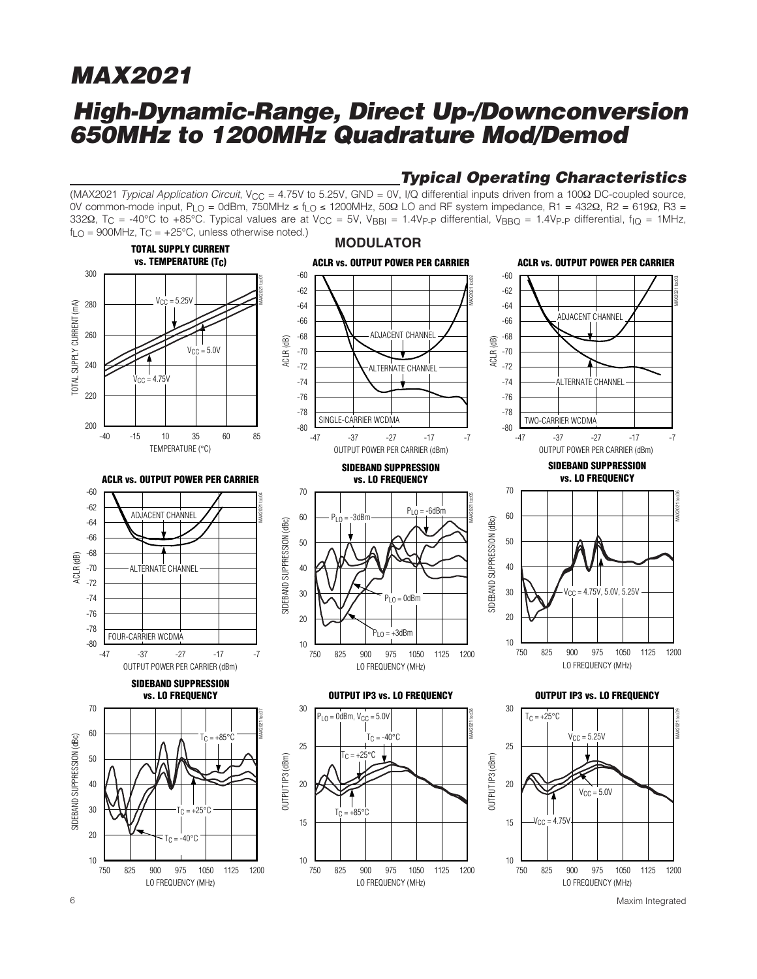## **High-Dynamic-Range, Direct Up-/Downconversion 650MHz to 1200MHz Quadrature Mod/Demod**

#### (MAX2021 Typical Application Circuit, V<sub>CC</sub> = 4.75V to 5.25V, GND = 0V, I/Q differential inputs driven from a 100Ω DC-coupled source, 0V common-mode input, PLO = 0dBm, 750MHz ≤ fLO ≤ 1200MHz, 50Ω LO and RF system impedance, R1 = 432Ω, R2 = 619Ω, R3 = 332Ω, T<sub>C</sub> = -40°C to +85°C. Typical values are at V<sub>CC</sub> = 5V, V<sub>BBI</sub> = 1.4V<sub>P-P</sub> differential, V<sub>BBQ</sub> = 1.4V<sub>P-P</sub> differential, f<sub>IQ</sub> = 1MHz,  $f_{\text{LO}} = 900$ MHz,  $T_{\text{C}} = +25$ °C, unless otherwise noted.)

**Typical Operating Characteristics**



6 Maxim Integrated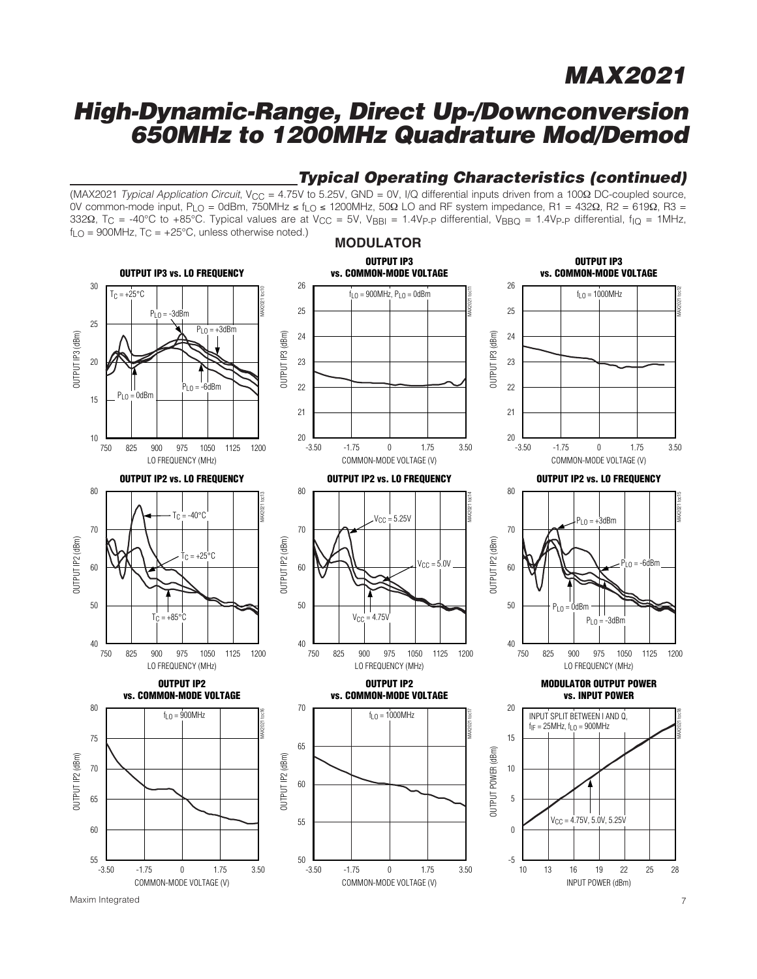### **High-Dynamic-Range, Direct Up-/Downconversion 650MHz to 1200MHz Quadrature Mod/Demod**



### **Typical Operating Characteristics (continued)**



Maxim Integrated 7

MAX2021 toc18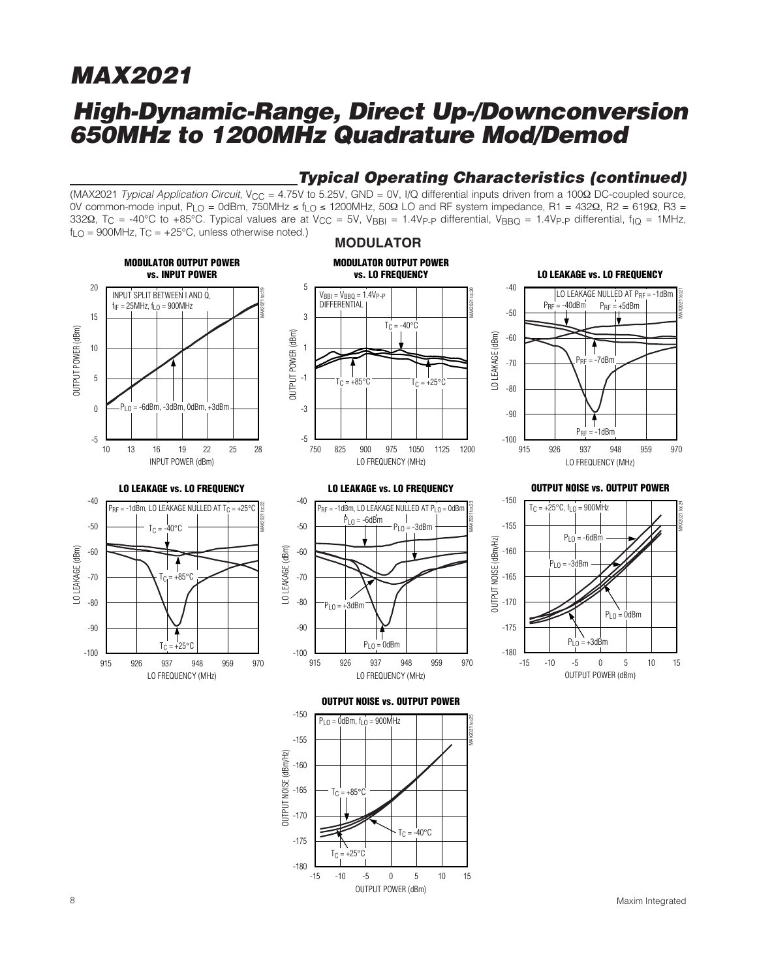## **High-Dynamic-Range, Direct Up-/Downconversion 650MHz to 1200MHz Quadrature Mod/Demod**

### **Typical Operating Characteristics (continued)**

(MAX2021 Typical Application Circuit, V<sub>CC</sub> = 4.75V to 5.25V, GND = 0V, I/Q differential inputs driven from a 100Ω DC-coupled source, 0V common-mode input, PLO = 0dBm, 750MHz ≤ fLO ≤ 1200MHz, 50Ω LO and RF system impedance, R1 = 432Ω, R2 = 619Ω, R3 = 332Ω, T<sub>C</sub> = -40°C to +85°C. Typical values are at V<sub>CC</sub> = 5V, V<sub>BBI</sub> = 1.4V<sub>P-P</sub> differential, V<sub>BBQ</sub> = 1.4V<sub>P-P</sub> differential, f<sub>IQ</sub> = 1MHz,  $f_{LO}$  = 900MHz, T<sub>C</sub> =  $+25^{\circ}$ C, unless otherwise noted.)

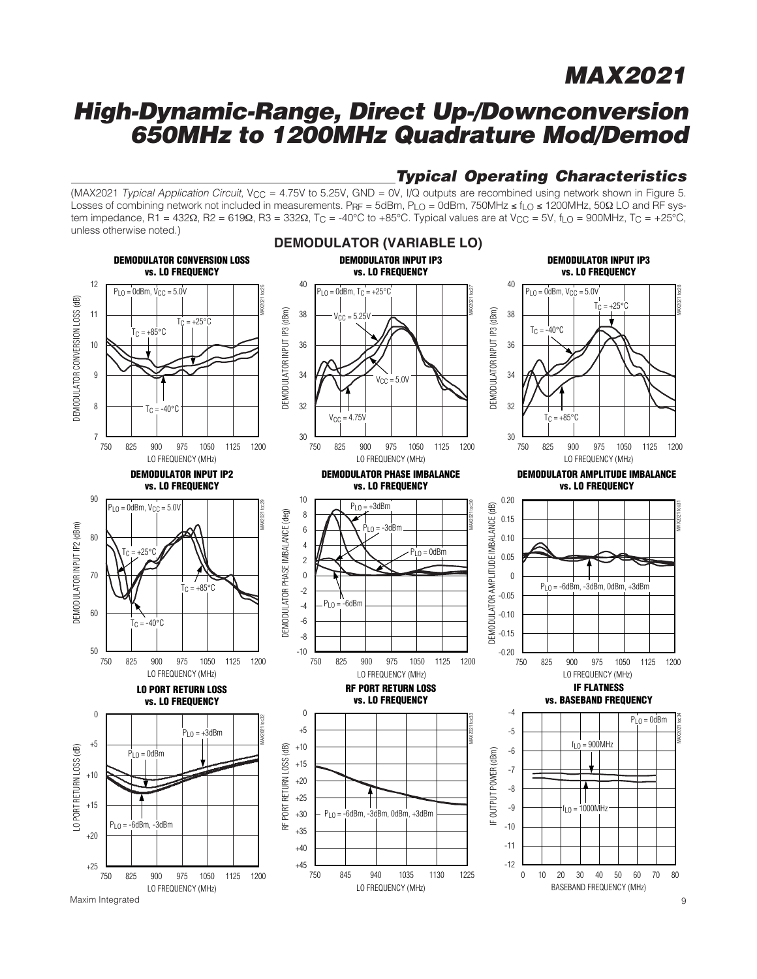## **High-Dynamic-Range, Direct Up-/Downconversion 650MHz to 1200MHz Quadrature Mod/Demod**

### **Typical Operating Characteristics**

(MAX2021 Typical Application Circuit, V<sub>CC</sub> = 4.75V to 5.25V, GND = 0V, I/Q outputs are recombined using network shown in Figure 5. Losses of combining network not included in measurements. P<sub>RF</sub> = 5dBm, P<sub>LO</sub> = 0dBm, 750MHz ≤ f<sub>LO</sub> ≤ 1200MHz, 50Ω LO and RF system impedance, R1 = 432Ω, R2 = 619Ω, R3 = 332Ω, Tc = -40°C to +85°C. Typical values are at Vcc = 5V, f<sub>LO</sub> = 900MHz, Tc = +25°C, unless otherwise noted.)



Maxim Integrated 9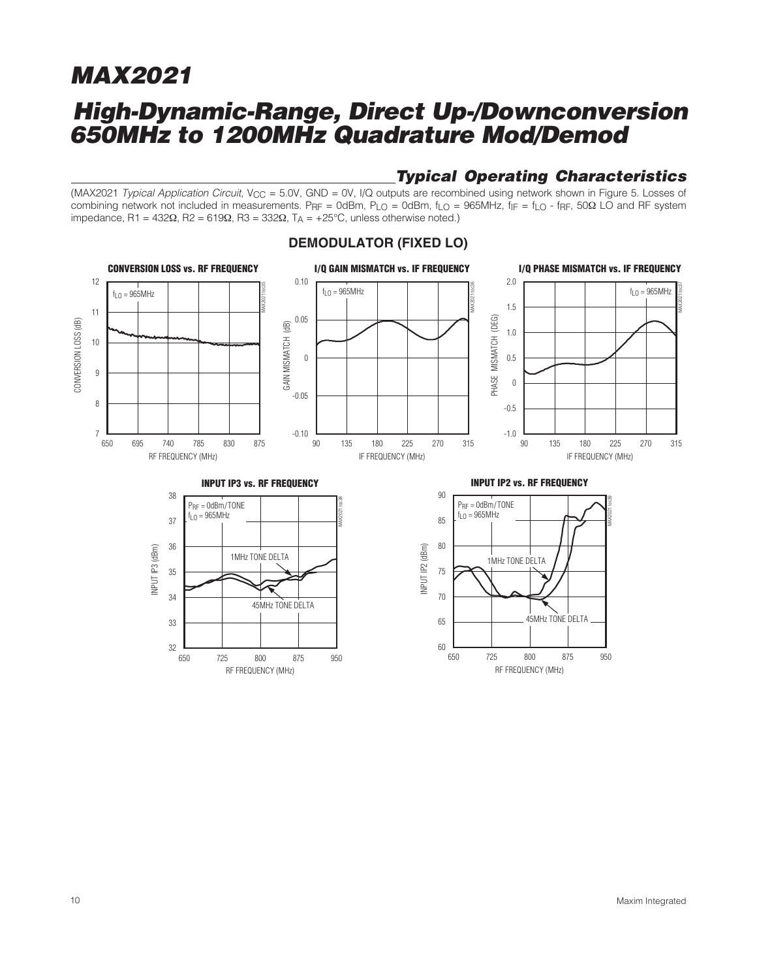## **High-Dynamic-Range, Direct Up-/Downconversion 650MHz to 1200MHz Quadrature Mod/Demod**

### **Typical Operating Characteristics**

RF FREQUENCY (MHz)

725 800 875

650 725 800 875 950

60

(MAX2021 Typical Application Circuit, V<sub>CC</sub> = 5.0V, GND = 0V, I/Q outputs are recombined using network shown in Figure 5. Losses of combining network not included in measurements. PRF = 0dBm, PLO = 0dBm, fLO = 965MHz,  $f_{IF} = f_{LO}$  - fRF, 50 $\Omega$  LO and RF system impedance, R1 = 432Ω, R2 = 619Ω, R3 = 332Ω, T<sub>A</sub> = +25°C, unless otherwise noted.)



RF FREQUENCY (MHz)

725 800 875

650 725 800 875 950

32

#### **DEMODULATOR (FIXED LO)**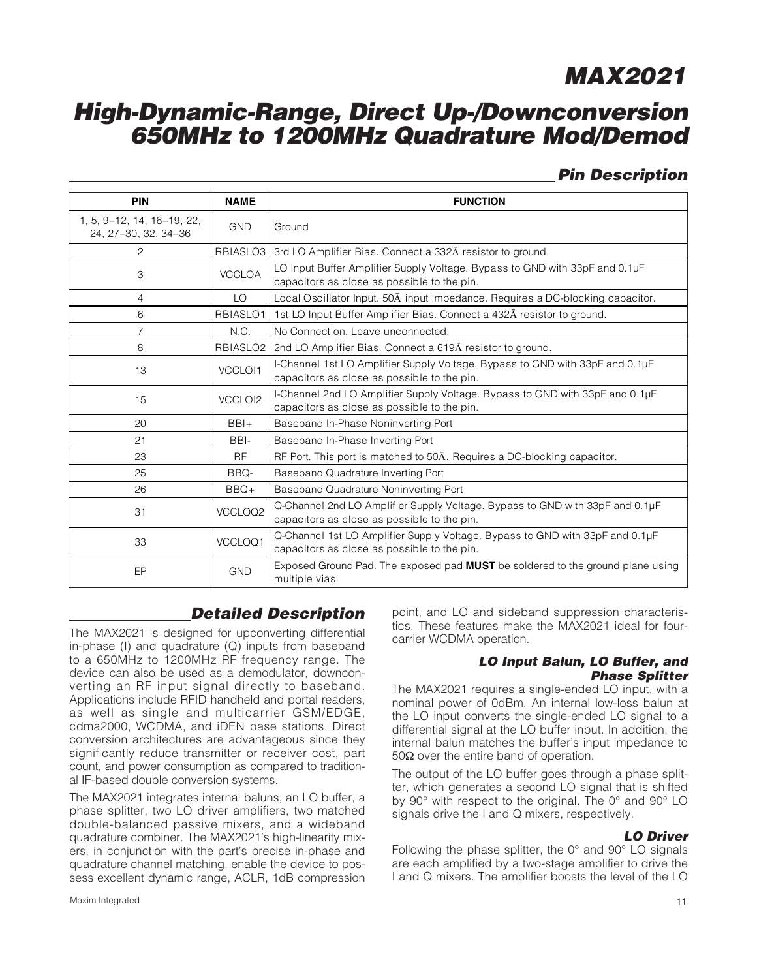## **High-Dynamic-Range, Direct Up-/Downconversion 650MHz to 1200MHz Quadrature Mod/Demod**

### **Pin Description**

| <b>PIN</b>                                         | <b>NAME</b>          | <b>FUNCTION</b>                                                                                                             |
|----------------------------------------------------|----------------------|-----------------------------------------------------------------------------------------------------------------------------|
| 1, 5, 9-12, 14, 16-19, 22,<br>24, 27-30, 32, 34-36 | <b>GND</b>           | Ground                                                                                                                      |
| 2                                                  | RBIASLO <sub>3</sub> | 3rd LO Amplifier Bias. Connect a 332A resistor to ground.                                                                   |
| 3                                                  | <b>VCCLOA</b>        | LO Input Buffer Amplifier Supply Voltage. Bypass to GND with 33pF and 0.1µF<br>capacitors as close as possible to the pin.  |
| 4                                                  | LO                   | Local Oscillator Input. 50A input impedance. Requires a DC-blocking capacitor.                                              |
| 6                                                  | RBIASLO1             | 1st LO Input Buffer Amplifier Bias. Connect a 432A resistor to ground.                                                      |
| $\overline{7}$                                     | N.C.                 | No Connection. Leave unconnected.                                                                                           |
| 8                                                  | RBIASLO <sub>2</sub> | 2nd LO Amplifier Bias. Connect a 619A resistor to ground.                                                                   |
| 13                                                 | VCCLOI1              | I-Channel 1st LO Amplifier Supply Voltage. Bypass to GND with 33pF and 0.1µF<br>capacitors as close as possible to the pin. |
| 15                                                 | VCCLOI2              | I-Channel 2nd LO Amplifier Supply Voltage. Bypass to GND with 33pF and 0.1µF<br>capacitors as close as possible to the pin. |
| 20                                                 | $BBI+$               | Baseband In-Phase Noninverting Port                                                                                         |
| 21                                                 | BBI-                 | Baseband In-Phase Inverting Port                                                                                            |
| 23                                                 | <b>RF</b>            | RF Port. This port is matched to 50A. Requires a DC-blocking capacitor.                                                     |
| 25                                                 | BBQ-                 | Baseband Quadrature Inverting Port                                                                                          |
| 26                                                 | $BBQ+$               | Baseband Quadrature Noninverting Port                                                                                       |
| 31                                                 | VCCLOQ2              | Q-Channel 2nd LO Amplifier Supply Voltage. Bypass to GND with 33pF and 0.1µF<br>capacitors as close as possible to the pin. |
| 33                                                 | VCCLOQ1              | Q-Channel 1st LO Amplifier Supply Voltage. Bypass to GND with 33pF and 0.1µF<br>capacitors as close as possible to the pin. |
| EP                                                 | <b>GND</b>           | Exposed Ground Pad. The exposed pad MUST be soldered to the ground plane using<br>multiple vias.                            |

### **Detailed Description**

The MAX2021 is designed for upconverting differential in-phase (I) and quadrature (Q) inputs from baseband to a 650MHz to 1200MHz RF frequency range. The device can also be used as a demodulator, downconverting an RF input signal directly to baseband. Applications include RFID handheld and portal readers, as well as single and multicarrier GSM/EDGE, cdma2000, WCDMA, and iDEN base stations. Direct conversion architectures are advantageous since they significantly reduce transmitter or receiver cost, part count, and power consumption as compared to traditional IF-based double conversion systems.

The MAX2021 integrates internal baluns, an LO buffer, a phase splitter, two LO driver amplifiers, two matched double-balanced passive mixers, and a wideband quadrature combiner. The MAX2021's high-linearity mixers, in conjunction with the part's precise in-phase and quadrature channel matching, enable the device to possess excellent dynamic range, ACLR, 1dB compression

point, and LO and sideband suppression characteristics. These features make the MAX2021 ideal for fourcarrier WCDMA operation.

#### **LO Input Balun, LO Buffer, and Phase Splitter**

The MAX2021 requires a single-ended LO input, with a nominal power of 0dBm. An internal low-loss balun at the LO input converts the single-ended LO signal to a differential signal at the LO buffer input. In addition, the internal balun matches the buffer's input impedance to 50 $Ω$  over the entire band of operation.

The output of the LO buffer goes through a phase splitter, which generates a second LO signal that is shifted by 90° with respect to the original. The 0° and 90° LO signals drive the I and Q mixers, respectively.

#### **LO Driver**

Following the phase splitter, the 0° and 90° LO signals are each amplified by a two-stage amplifier to drive the I and Q mixers. The amplifier boosts the level of the LO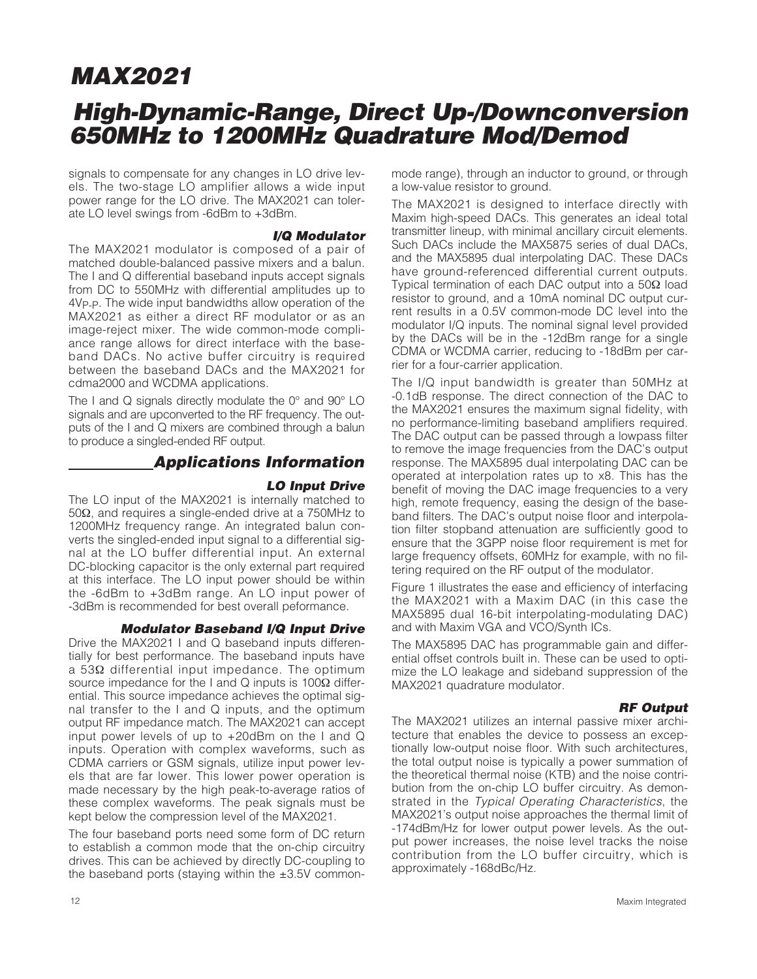## **High-Dynamic-Range, Direct Up-/Downconversion 650MHz to 1200MHz Quadrature Mod/Demod**

signals to compensate for any changes in LO drive levels. The two-stage LO amplifier allows a wide input power range for the LO drive. The MAX2021 can tolerate LO level swings from -6dBm to +3dBm.

#### **I/Q Modulator**

The MAX2021 modulator is composed of a pair of matched double-balanced passive mixers and a balun. The I and Q differential baseband inputs accept signals from DC to 550MHz with differential amplitudes up to 4VP-P. The wide input bandwidths allow operation of the MAX2021 as either a direct RF modulator or as an image-reject mixer. The wide common-mode compliance range allows for direct interface with the baseband DACs. No active buffer circuitry is required between the baseband DACs and the MAX2021 for cdma2000 and WCDMA applications.

The I and Q signals directly modulate the 0° and 90° LO signals and are upconverted to the RF frequency. The outputs of the I and Q mixers are combined through a balun to produce a singled-ended RF output.

#### **Applications Information**

#### **LO Input Drive**

The LO input of the MAX2021 is internally matched to 50Ω, and requires a single-ended drive at a 750MHz to 1200MHz frequency range. An integrated balun converts the singled-ended input signal to a differential signal at the LO buffer differential input. An external DC-blocking capacitor is the only external part required at this interface. The LO input power should be within the -6dBm to +3dBm range. An LO input power of -3dBm is recommended for best overall peformance.

#### **Modulator Baseband I/Q Input Drive**

Drive the MAX2021 I and Q baseband inputs differentially for best performance. The baseband inputs have a 53Ω differential input impedance. The optimum source impedance for the I and Q inputs is 100Ω differential. This source impedance achieves the optimal signal transfer to the I and Q inputs, and the optimum output RF impedance match. The MAX2021 can accept input power levels of up to +20dBm on the I and Q inputs. Operation with complex waveforms, such as CDMA carriers or GSM signals, utilize input power levels that are far lower. This lower power operation is made necessary by the high peak-to-average ratios of these complex waveforms. The peak signals must be kept below the compression level of the MAX2021.

The four baseband ports need some form of DC return to establish a common mode that the on-chip circuitry drives. This can be achieved by directly DC-coupling to the baseband ports (staying within the  $\pm 3.5V$  commonmode range), through an inductor to ground, or through a low-value resistor to ground.

The MAX2021 is designed to interface directly with Maxim high-speed DACs. This generates an ideal total transmitter lineup, with minimal ancillary circuit elements. Such DACs include the MAX5875 series of dual DACs, and the MAX5895 dual interpolating DAC. These DACs have ground-referenced differential current outputs. Typical termination of each DAC output into a 50Ω load resistor to ground, and a 10mA nominal DC output current results in a 0.5V common-mode DC level into the modulator I/Q inputs. The nominal signal level provided by the DACs will be in the -12dBm range for a single CDMA or WCDMA carrier, reducing to -18dBm per carrier for a four-carrier application.

The I/Q input bandwidth is greater than 50MHz at -0.1dB response. The direct connection of the DAC to the MAX2021 ensures the maximum signal fidelity, with no performance-limiting baseband amplifiers required. The DAC output can be passed through a lowpass filter to remove the image frequencies from the DAC's output response. The MAX5895 dual interpolating DAC can be operated at interpolation rates up to x8. This has the benefit of moving the DAC image frequencies to a very high, remote frequency, easing the design of the baseband filters. The DAC's output noise floor and interpolation filter stopband attenuation are sufficiently good to ensure that the 3GPP noise floor requirement is met for large frequency offsets, 60MHz for example, with no filtering required on the RF output of the modulator.

Figure 1 illustrates the ease and efficiency of interfacing the MAX2021 with a Maxim DAC (in this case the MAX5895 dual 16-bit interpolating-modulating DAC) and with Maxim VGA and VCO/Synth ICs.

The MAX5895 DAC has programmable gain and differential offset controls built in. These can be used to optimize the LO leakage and sideband suppression of the MAX2021 quadrature modulator.

#### **RF Output**

The MAX2021 utilizes an internal passive mixer architecture that enables the device to possess an exceptionally low-output noise floor. With such architectures, the total output noise is typically a power summation of the theoretical thermal noise (KTB) and the noise contribution from the on-chip LO buffer circuitry. As demonstrated in the Typical Operating Characteristics, the MAX2021's output noise approaches the thermal limit of -174dBm/Hz for lower output power levels. As the output power increases, the noise level tracks the noise contribution from the LO buffer circuitry, which is approximately -168dBc/Hz.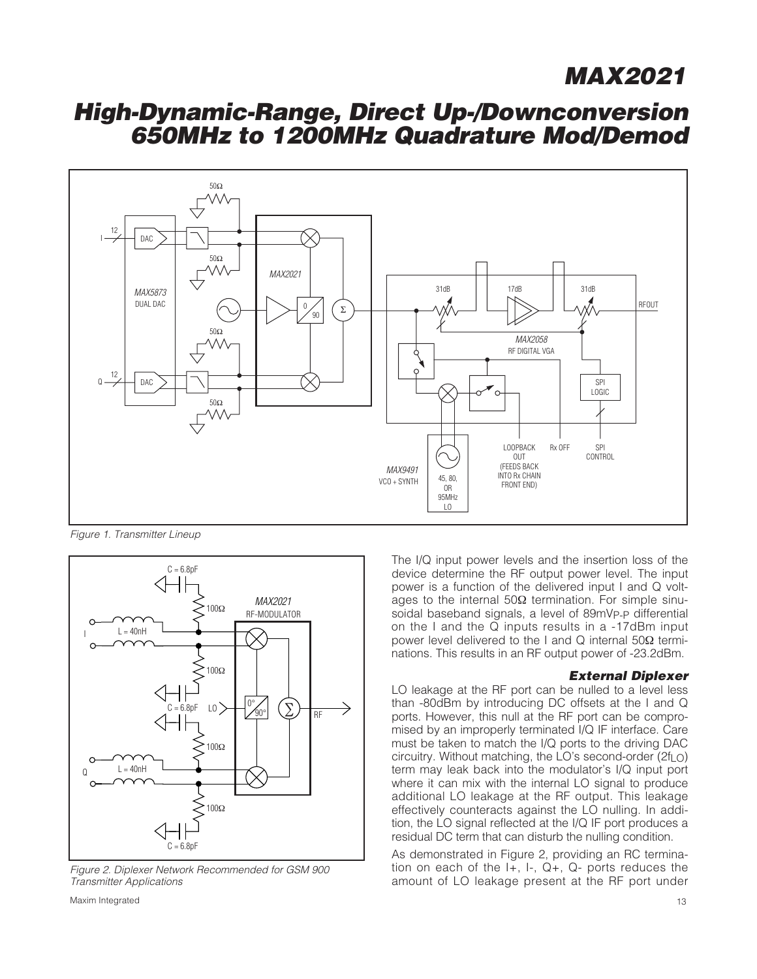## **High-Dynamic-Range, Direct Up-/Downconversion 650MHz to 1200MHz Quadrature Mod/Demod**



Figure 1. Transmitter Lineup



Figure 2. Diplexer Network Recommended for GSM 900 Transmitter Applications

The I/Q input power levels and the insertion loss of the device determine the RF output power level. The input power is a function of the delivered input I and Q voltages to the internal  $50Ω$  termination. For simple sinusoidal baseband signals, a level of 89mVp-p differential on the I and the Q inputs results in a -17dBm input power level delivered to the I and Q internal 50Ω terminations. This results in an RF output power of -23.2dBm.

#### **External Diplexer**

LO leakage at the RF port can be nulled to a level less than -80dBm by introducing DC offsets at the I and Q ports. However, this null at the RF port can be compromised by an improperly terminated I/Q IF interface. Care must be taken to match the I/Q ports to the driving DAC circuitry. Without matching, the LO's second-order ( $2f<sub>L</sub>$ O) term may leak back into the modulator's I/Q input port where it can mix with the internal LO signal to produce additional LO leakage at the RF output. This leakage effectively counteracts against the LO nulling. In addition, the LO signal reflected at the I/Q IF port produces a residual DC term that can disturb the nulling condition.

As demonstrated in Figure 2, providing an RC termination on each of the I+, I-, Q+, Q- ports reduces the amount of LO leakage present at the RF port under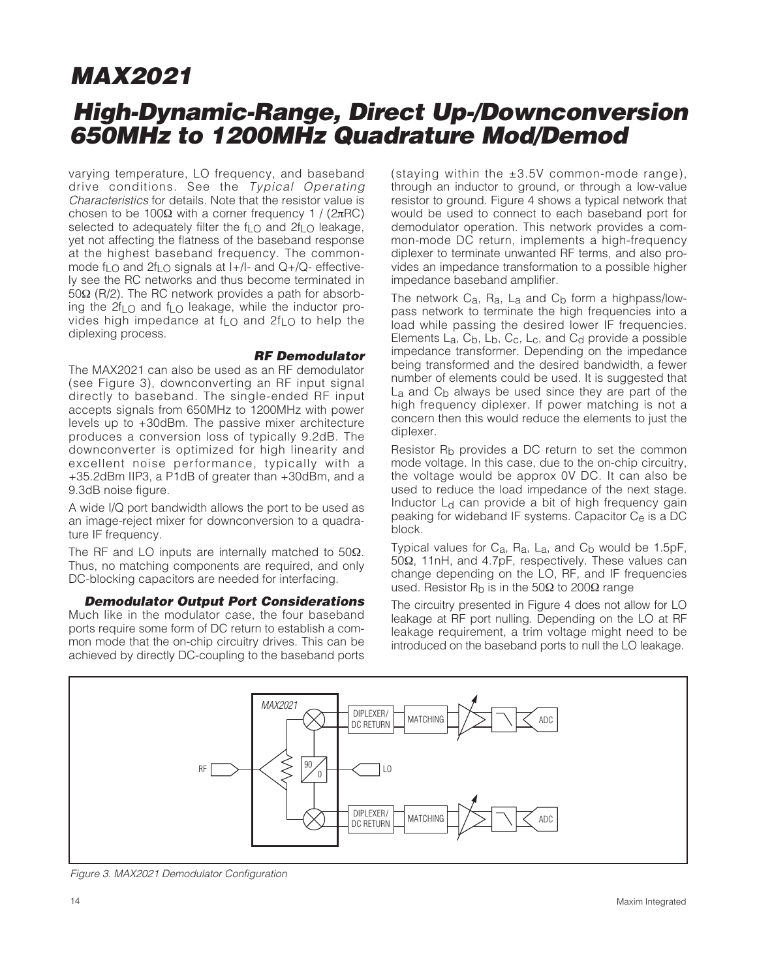## **High-Dynamic-Range, Direct Up-/Downconversion 650MHz to 1200MHz Quadrature Mod/Demod**

varying temperature, LO frequency, and baseband drive conditions. See the Typical Operating Characteristics for details. Note that the resistor value is chosen to be 100Ω with a corner frequency 1 / ( $2πRC$ ) selected to adequately filter the  $f_{LO}$  and  $2f_{LO}$  leakage, yet not affecting the flatness of the baseband response at the highest baseband frequency. The commonmode f<sub>LO</sub> and 2f<sub>LO</sub> signals at  $I+$ /I- and Q+/Q- effectively see the RC networks and thus become terminated in 50Ω (R/2). The RC network provides a path for absorbing the 2fLO and fLO leakage, while the inductor provides high impedance at f<sub>LO</sub> and 2f<sub>LO</sub> to help the diplexing process.

#### **RF Demodulator**

The MAX2021 can also be used as an RF demodulator (see Figure 3), downconverting an RF input signal directly to baseband. The single-ended RF input accepts signals from 650MHz to 1200MHz with power levels up to +30dBm. The passive mixer architecture produces a conversion loss of typically 9.2dB. The downconverter is optimized for high linearity and excellent noise performance, typically with a +35.2dBm IIP3, a P1dB of greater than +30dBm, and a 9.3dB noise figure.

A wide I/Q port bandwidth allows the port to be used as an image-reject mixer for downconversion to a quadrature IF frequency.

The RF and LO inputs are internally matched to  $50\Omega$ . Thus, no matching components are required, and only DC-blocking capacitors are needed for interfacing.

**Demodulator Output Port Considerations** Much like in the modulator case, the four baseband ports require some form of DC return to establish a common mode that the on-chip circuitry drives. This can be achieved by directly DC-coupling to the baseband ports

(staying within the  $\pm 3.5V$  common-mode range), through an inductor to ground, or through a low-value resistor to ground. Figure 4 shows a typical network that would be used to connect to each baseband port for demodulator operation. This network provides a common-mode DC return, implements a high-frequency diplexer to terminate unwanted RF terms, and also provides an impedance transformation to a possible higher impedance baseband amplifier.

The network  $C_a$ ,  $R_a$ ,  $L_a$  and  $C_b$  form a highpass/lowpass network to terminate the high frequencies into a load while passing the desired lower IF frequencies. Elements  $L_a$ ,  $C_b$ ,  $L_b$ ,  $C_c$ ,  $L_c$ , and  $C_d$  provide a possible impedance transformer. Depending on the impedance being transformed and the desired bandwidth, a fewer number of elements could be used. It is suggested that L<sub>a</sub> and C<sub>b</sub> always be used since they are part of the high frequency diplexer. If power matching is not a concern then this would reduce the elements to just the diplexer.

Resistor R<sub>b</sub> provides a DC return to set the common mode voltage. In this case, due to the on-chip circuitry, the voltage would be approx 0V DC. It can also be used to reduce the load impedance of the next stage. Inductor L<sub>d</sub> can provide a bit of high frequency gain peaking for wideband IF systems. Capacitor Ce is a DC block.

Typical values for  $C_a$ ,  $R_a$ ,  $L_a$ , and  $C_b$  would be 1.5pF, 50Ω, 11nH, and 4.7pF, respectively. These values can change depending on the LO, RF, and IF frequencies used. Resistor R<sub>b</sub> is in the 50Ω to 200Ω range

The circuitry presented in Figure 4 does not allow for LO leakage at RF port nulling. Depending on the LO at RF leakage requirement, a trim voltage might need to be introduced on the baseband ports to null the LO leakage.



Figure 3. MAX2021 Demodulator Configuration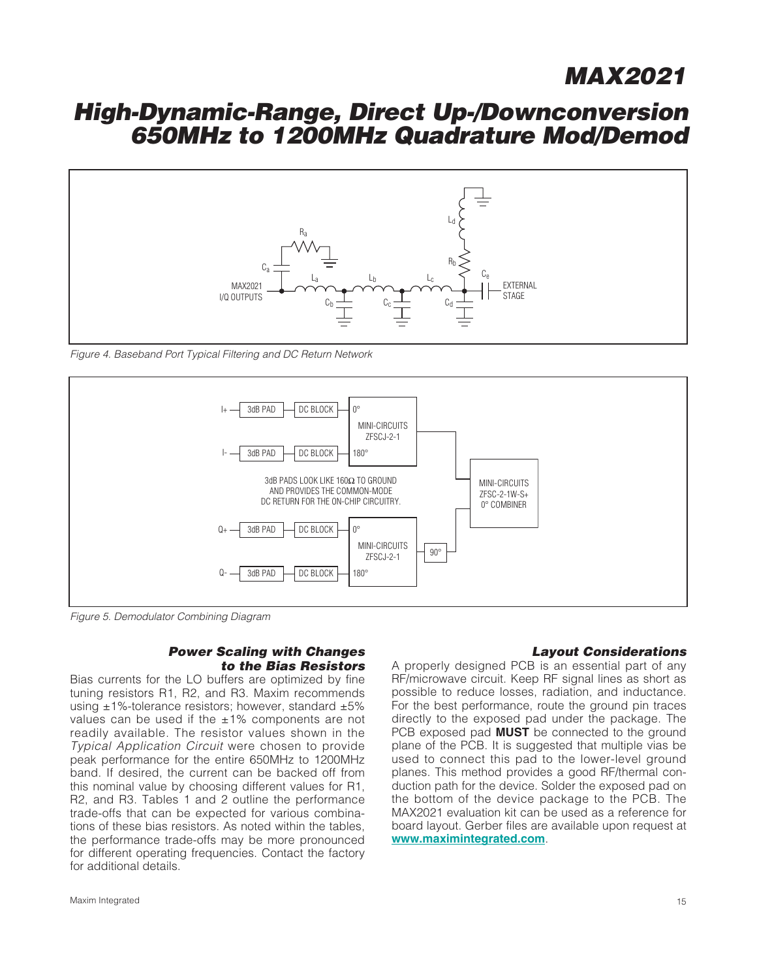### **High-Dynamic-Range, Direct Up-/Downconversion 650MHz to 1200MHz Quadrature Mod/Demod**



Figure 4. Baseband Port Typical Filtering and DC Return Network



Figure 5. Demodulator Combining Diagram

#### **Power Scaling with Changes to the Bias Resistors**

Bias currents for the LO buffers are optimized by fine tuning resistors R1, R2, and R3. Maxim recommends using  $±1\%$ -tolerance resistors; however, standard  $±5\%$ values can be used if the  $\pm 1\%$  components are not readily available. The resistor values shown in the Typical Application Circuit were chosen to provide peak performance for the entire 650MHz to 1200MHz band. If desired, the current can be backed off from this nominal value by choosing different values for R1, R2, and R3. Tables 1 and 2 outline the performance trade-offs that can be expected for various combinations of these bias resistors. As noted within the tables, the performance trade-offs may be more pronounced for different operating frequencies. Contact the factory for additional details.

#### **Layout Considerations**

A properly designed PCB is an essential part of any RF/microwave circuit. Keep RF signal lines as short as possible to reduce losses, radiation, and inductance. For the best performance, route the ground pin traces directly to the exposed pad under the package. The PCB exposed pad **MUST** be connected to the ground plane of the PCB. It is suggested that multiple vias be used to connect this pad to the lower-level ground planes. This method provides a good RF/thermal conduction path for the device. Solder the exposed pad on the bottom of the device package to the PCB. The MAX2021 evaluation kit can be used as a reference for board layout. Gerber files are available upon request at **[www.maximintegrated.com](http://www.maximintegrated.com)**.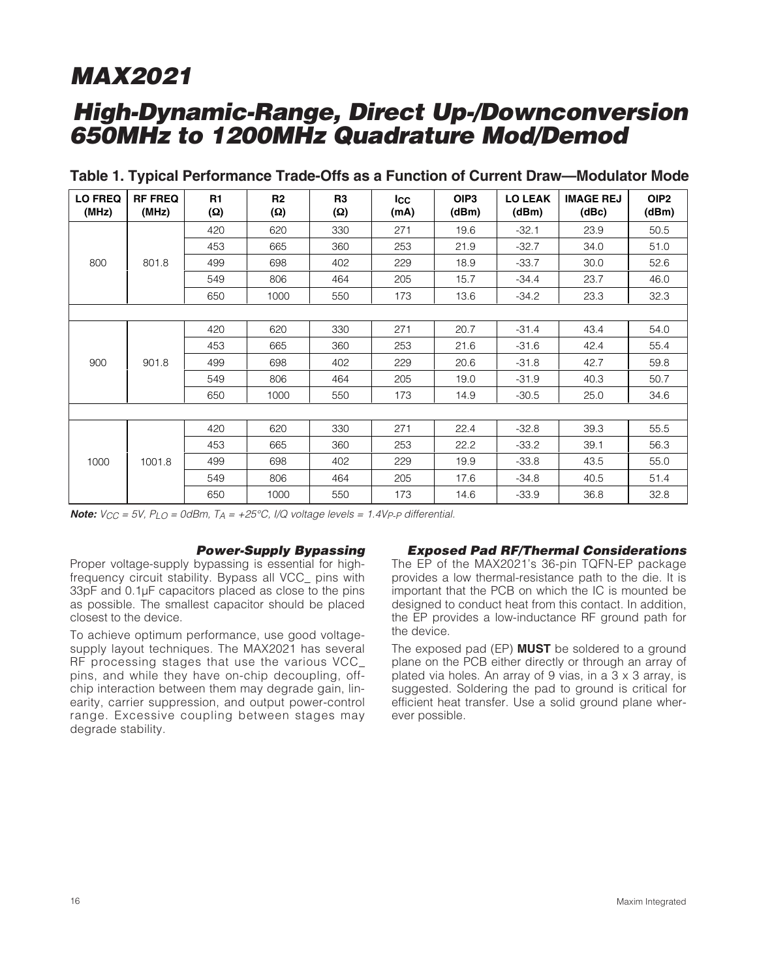## **High-Dynamic-Range, Direct Up-/Downconversion 650MHz to 1200MHz Quadrature Mod/Demod**

| <b>LO FREQ</b><br>(MHz) | <b>RF FREQ</b><br>(MHz) | R1<br><b>(Ω)</b> | R <sub>2</sub><br>(Ω) | R <sub>3</sub><br>(Ω) | <b>Icc</b><br>(mA) | OIP <sub>3</sub><br>(dBm) | <b>LO LEAK</b><br>(dBm) | <b>IMAGE REJ</b><br>(dBc) | OIP <sub>2</sub><br>(dBm) |
|-------------------------|-------------------------|------------------|-----------------------|-----------------------|--------------------|---------------------------|-------------------------|---------------------------|---------------------------|
|                         |                         | 420              | 620                   | 330                   | 271                | 19.6                      | $-32.1$                 | 23.9                      | 50.5                      |
|                         |                         | 453              | 665                   | 360                   | 253                | 21.9                      | $-32.7$                 | 34.0                      | 51.0                      |
| 800                     | 801.8                   | 499              | 698                   | 402                   | 229                | 18.9                      | $-33.7$                 | 30.0                      | 52.6                      |
|                         |                         | 549              | 806                   | 464                   | 205                | 15.7                      | $-34.4$                 | 23.7                      | 46.0                      |
|                         |                         | 650              | 1000                  | 550                   | 173                | 13.6                      | $-34.2$                 | 23.3                      | 32.3                      |
|                         |                         |                  |                       |                       |                    |                           |                         |                           |                           |
|                         |                         | 420              | 620                   | 330                   | 271                | 20.7                      | $-31.4$                 | 43.4                      | 54.0                      |
|                         | 901.8                   | 453              | 665                   | 360                   | 253                | 21.6                      | $-31.6$                 | 42.4                      | 55.4                      |
| 900                     |                         | 499              | 698                   | 402                   | 229                | 20.6                      | $-31.8$                 | 42.7                      | 59.8                      |
|                         |                         | 549              | 806                   | 464                   | 205                | 19.0                      | $-31.9$                 | 40.3                      | 50.7                      |
|                         |                         | 650              | 1000                  | 550                   | 173                | 14.9                      | $-30.5$                 | 25.0                      | 34.6                      |
|                         |                         |                  |                       |                       |                    |                           |                         |                           |                           |
|                         |                         | 420              | 620                   | 330                   | 271                | 22.4                      | $-32.8$                 | 39.3                      | 55.5                      |
|                         |                         | 453              | 665                   | 360                   | 253                | 22.2                      | $-33.2$                 | 39.1                      | 56.3                      |
| 1000                    | 1001.8                  | 499              | 698                   | 402                   | 229                | 19.9                      | $-33.8$                 | 43.5                      | 55.0                      |
|                         |                         | 549              | 806                   | 464                   | 205                | 17.6                      | $-34.8$                 | 40.5                      | 51.4                      |
|                         |                         | 650              | 1000                  | 550                   | 173                | 14.6                      | $-33.9$                 | 36.8                      | 32.8                      |

#### **Table 1. Typical Performance Trade-Offs as a Function of Current Draw—Modulator Mode**

**Note:**  $V_{CC} = 5V$ ,  $P_{LO} = 0$ dBm,  $T_A = +25^{\circ}C$ ,  $I/Q$  voltage levels = 1.4Vp-p differential.

#### **Power-Supply Bypassing**

Proper voltage-supply bypassing is essential for highfrequency circuit stability. Bypass all VCC\_ pins with 33pF and 0.1µF capacitors placed as close to the pins as possible. The smallest capacitor should be placed closest to the device.

To achieve optimum performance, use good voltagesupply layout techniques. The MAX2021 has several RF processing stages that use the various VCC\_ pins, and while they have on-chip decoupling, offchip interaction between them may degrade gain, linearity, carrier suppression, and output power-control range. Excessive coupling between stages may degrade stability.

#### **Exposed Pad RF/Thermal Considerations**

The EP of the MAX2021's 36-pin TQFN-EP package provides a low thermal-resistance path to the die. It is important that the PCB on which the IC is mounted be designed to conduct heat from this contact. In addition, the EP provides a low-inductance RF ground path for the device.

The exposed pad (EP) **MUST** be soldered to a ground plane on the PCB either directly or through an array of plated via holes. An array of 9 vias, in a 3 x 3 array, is suggested. Soldering the pad to ground is critical for efficient heat transfer. Use a solid ground plane wherever possible.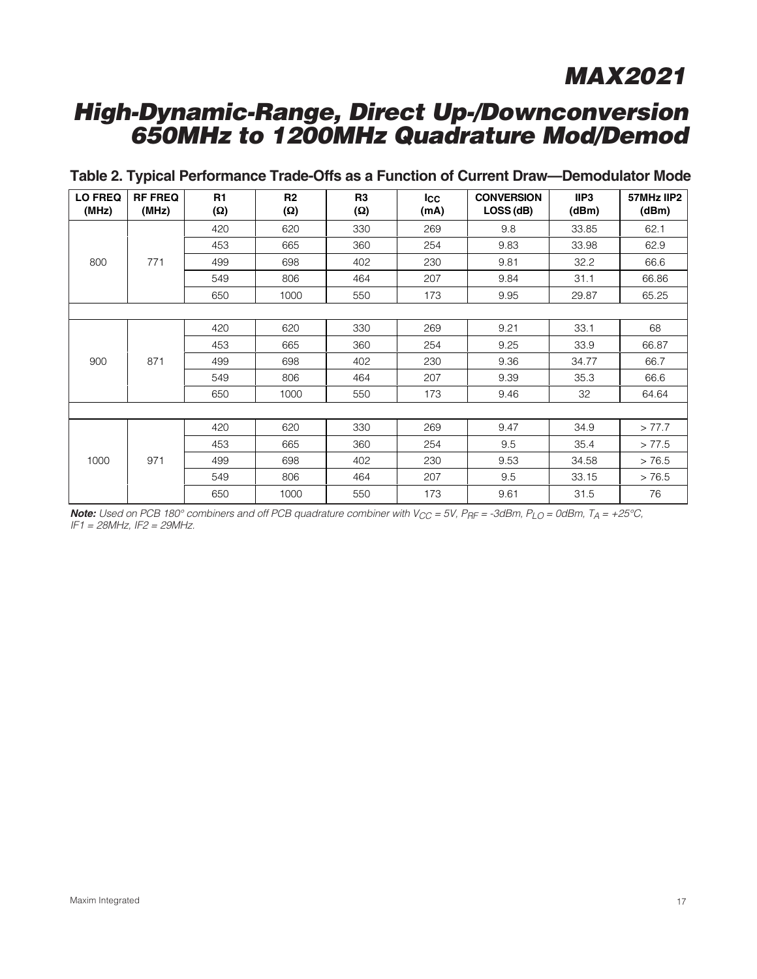## **High-Dynamic-Range, Direct Up-/Downconversion 650MHz to 1200MHz Quadrature Mod/Demod**

| <b>LO FREQ</b><br>(MHz) | <b>RF FREQ</b><br>(MHz) | R1<br>(Ω) | R <sub>2</sub><br>(Ω) | R <sub>3</sub><br>(Ω) | <b>Icc</b><br>(mA) | <b>CONVERSION</b><br>LOSS (dB) | IIP3<br>(dBm) | 57MHz IIP2<br>(dBm) |    |
|-------------------------|-------------------------|-----------|-----------------------|-----------------------|--------------------|--------------------------------|---------------|---------------------|----|
|                         |                         | 420       | 620                   | 330                   | 269                | 9.8                            | 33.85         | 62.1                |    |
|                         |                         | 453       | 665                   | 360                   | 254                | 9.83                           | 33.98         | 62.9                |    |
| 800                     | 771                     | 499       | 698                   | 402                   | 230                | 9.81                           | 32.2          | 66.6                |    |
|                         |                         | 549       | 806                   | 464                   | 207                | 9.84                           | 31.1          | 66.86               |    |
|                         |                         | 650       | 1000                  | 550                   | 173                | 9.95                           | 29.87         | 65.25               |    |
|                         |                         |           |                       |                       |                    |                                |               |                     |    |
|                         | 871                     |           | 420                   | 620                   | 330                | 269                            | 9.21          | 33.1                | 68 |
|                         |                         | 453       | 665                   | 360                   | 254                | 9.25                           | 33.9          | 66.87               |    |
| 900                     |                         | 499       | 698                   | 402                   | 230                | 9.36                           | 34.77         | 66.7                |    |
|                         |                         | 549       | 806                   | 464                   | 207                | 9.39                           | 35.3          | 66.6                |    |
|                         |                         | 650       | 1000                  | 550                   | 173                | 9.46                           | 32            | 64.64               |    |
|                         |                         |           |                       |                       |                    |                                |               |                     |    |
|                         |                         | 420       | 620                   | 330                   | 269                | 9.47                           | 34.9          | > 77.7              |    |
|                         |                         | 453       | 665                   | 360                   | 254                | 9.5                            | 35.4          | > 77.5              |    |
| 1000                    | 971                     | 499       | 698                   | 402                   | 230                | 9.53                           | 34.58         | > 76.5              |    |
|                         |                         | 549       | 806                   | 464                   | 207                | 9.5                            | 33.15         | > 76.5              |    |
|                         |                         | 650       | 1000                  | 550                   | 173                | 9.61                           | 31.5          | 76                  |    |

### **Table 2. Typical Performance Trade-Offs as a Function of Current Draw—Demodulator Mode**

Note: Used on PCB 180° combiners and off PCB quadrature combiner with V<sub>CC</sub> = 5V, P<sub>RF</sub> = -3dBm, P<sub>LO</sub> = 0dBm, T<sub>A</sub> = +25°C, IF1 <sup>=</sup> 28MHz, IF2 = 29MHz.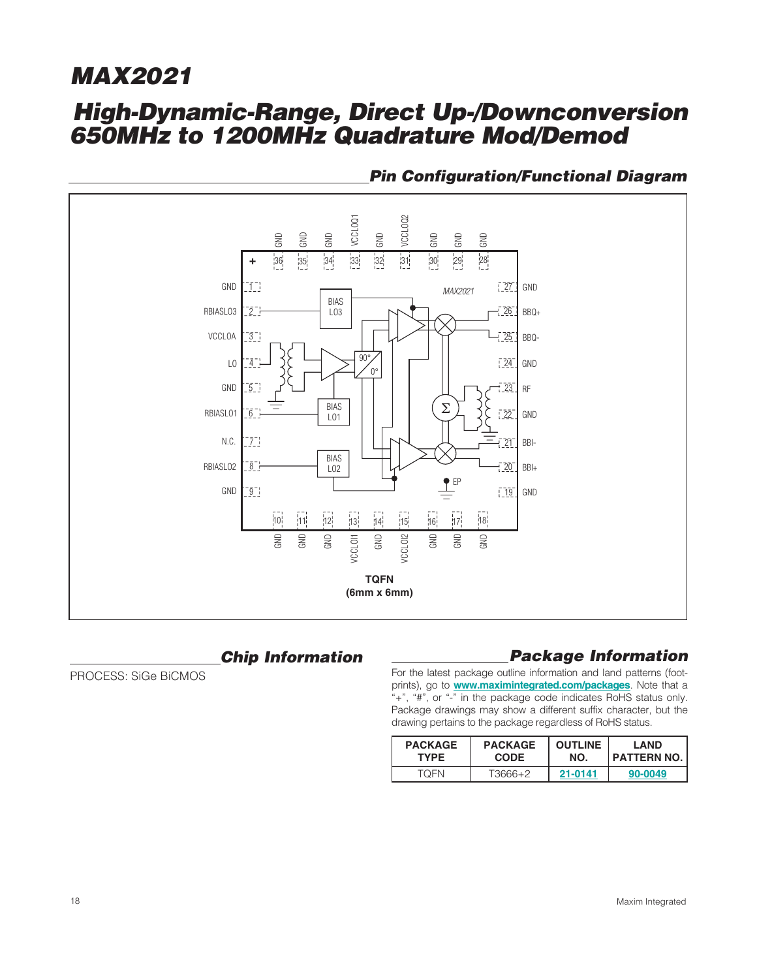## **High-Dynamic-Range, Direct Up-/Downconversion 650MHz to 1200MHz Quadrature Mod/Demod**



### **Pin Configuration/Functional Diagram**

### **Chip Information**

PROCESS: SiGe BiCMOS

### **Package Information**

For the latest package outline information and land patterns (footprints), go to **[www.maximintegrated.com/packages](http://www.maximintegrated.com/packages)**. Note that a "+", "#", or "-" in the package code indicates RoHS status only. Package drawings may show a different suffix character, but the drawing pertains to the package regardless of RoHS status.

| <b>PACKAGE</b> | <b>PACKAGE</b> | <b>OUTLINE</b> | LAND               |  |
|----------------|----------------|----------------|--------------------|--|
| <b>TYPE</b>    | <b>CODE</b>    | NO.            | <b>PATTERN NO.</b> |  |
| TOFN           | $T3666+2$      | 21-0141        | 90-0049            |  |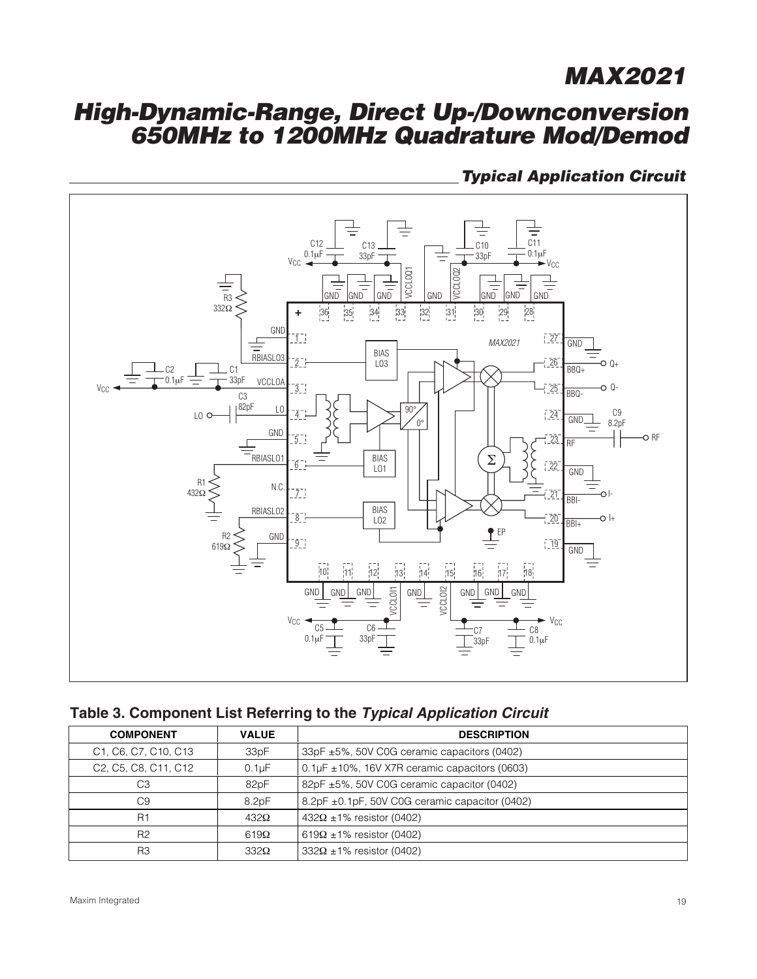## **High-Dynamic-Range, Direct Up-/Downconversion 650MHz to 1200MHz Quadrature Mod/Demod**





|  | Table 3. Component List Referring to the Typical Application Circuit |  |  |
|--|----------------------------------------------------------------------|--|--|
|  |                                                                      |  |  |

| <b>COMPONENT</b>                                                                     | <b>VALUE</b>       | <b>DESCRIPTION</b>                                   |
|--------------------------------------------------------------------------------------|--------------------|------------------------------------------------------|
| C1, C6, C7, C10, C13                                                                 | 33pF               | 33pF ±5%, 50V C0G ceramic capacitors (0402)          |
| C <sub>2</sub> , C <sub>5</sub> , C <sub>8</sub> , C <sub>11</sub> , C <sub>12</sub> | 0.1 <sub>µ</sub> F | $0.1 \mu$ F ± 10%, 16V X7R ceramic capacitors (0603) |
| C3                                                                                   | 82pF               | 82pF ±5%, 50V C0G ceramic capacitor (0402)           |
| C <sub>9</sub>                                                                       | 8.2pF              | 8.2pF ±0.1pF, 50V C0G ceramic capacitor (0402)       |
| R <sub>1</sub>                                                                       | $432\Omega$        | $432\Omega \pm 1\%$ resistor (0402)                  |
| R <sub>2</sub>                                                                       | $619\Omega$        | $619\Omega \pm 1\%$ resistor (0402)                  |
| R <sub>3</sub>                                                                       | $332\Omega$        | $332\Omega \pm 1\%$ resistor (0402)                  |